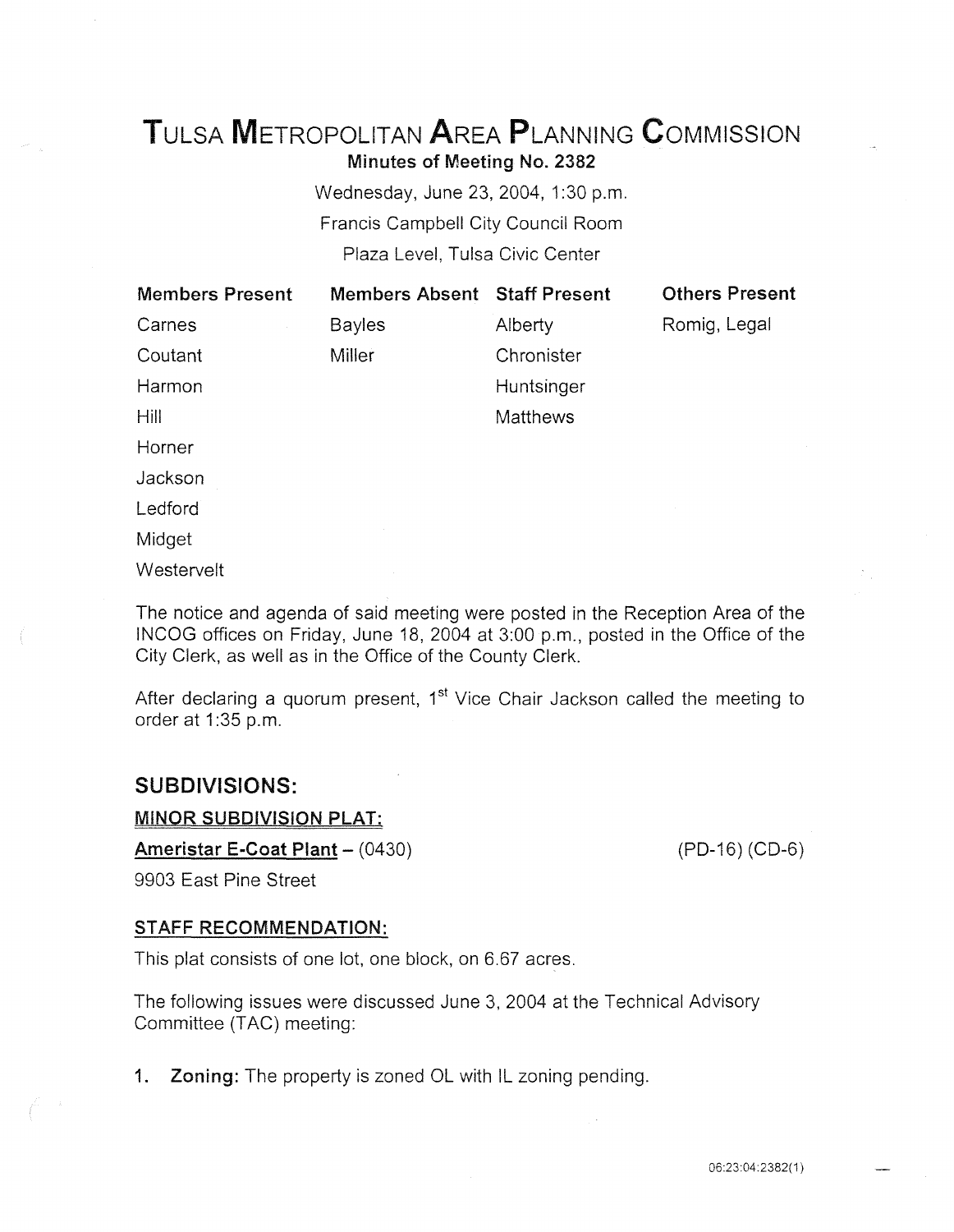# TuLsA METROPOLITAN AREA PLANNING CoMMISSION Minutes of Meeting No. 2382

Wednesday, June 23, 2004, 1:30 p.m. Francis Campbell City Council Room Plaza Level, Tulsa Civic Center

| <b>Members Present</b> | <b>Members Absent Staff Present</b> |            | <b>Others Present</b> |
|------------------------|-------------------------------------|------------|-----------------------|
| Carnes                 | <b>Bayles</b>                       | Alberty    | Romig, Legal          |
| Coutant                | Miller                              | Chronister |                       |
| Harmon                 |                                     | Huntsinger |                       |
| <b>Hill</b>            |                                     | Matthews   |                       |
| Horner                 |                                     |            |                       |
| Jackson                |                                     |            |                       |
| Ledford                |                                     |            |                       |
| Midget                 |                                     |            |                       |

**Westervelt** 

The notice and agenda of said meeting were posted in the Reception Area of the INCOG offices on Friday, June 18, 2004 at 3:00 p.m., posted in the Office of the City Clerk, as well as in the Office of the County Clerk.

After declaring a quorum present, 1<sup>st</sup> Vice Chair Jackson called the meeting to order at 1:35 p.m.

## SUBDIVISIONS:

MINOR SUBDIVISION PLAT:

Ameristar E-Coat Plant - (0430)

9903 East Pine Street

## STAFF RECOMMENDATION:

This plat consists of one lot, one block, on 6.67 acres.

The following issues were discussed June 3, 2004 at the Technical Advisory Committee (TAC) meeting:

1. Zoning: The property is zoned OL with IL zoning pending.

(PD-16) (CD-6)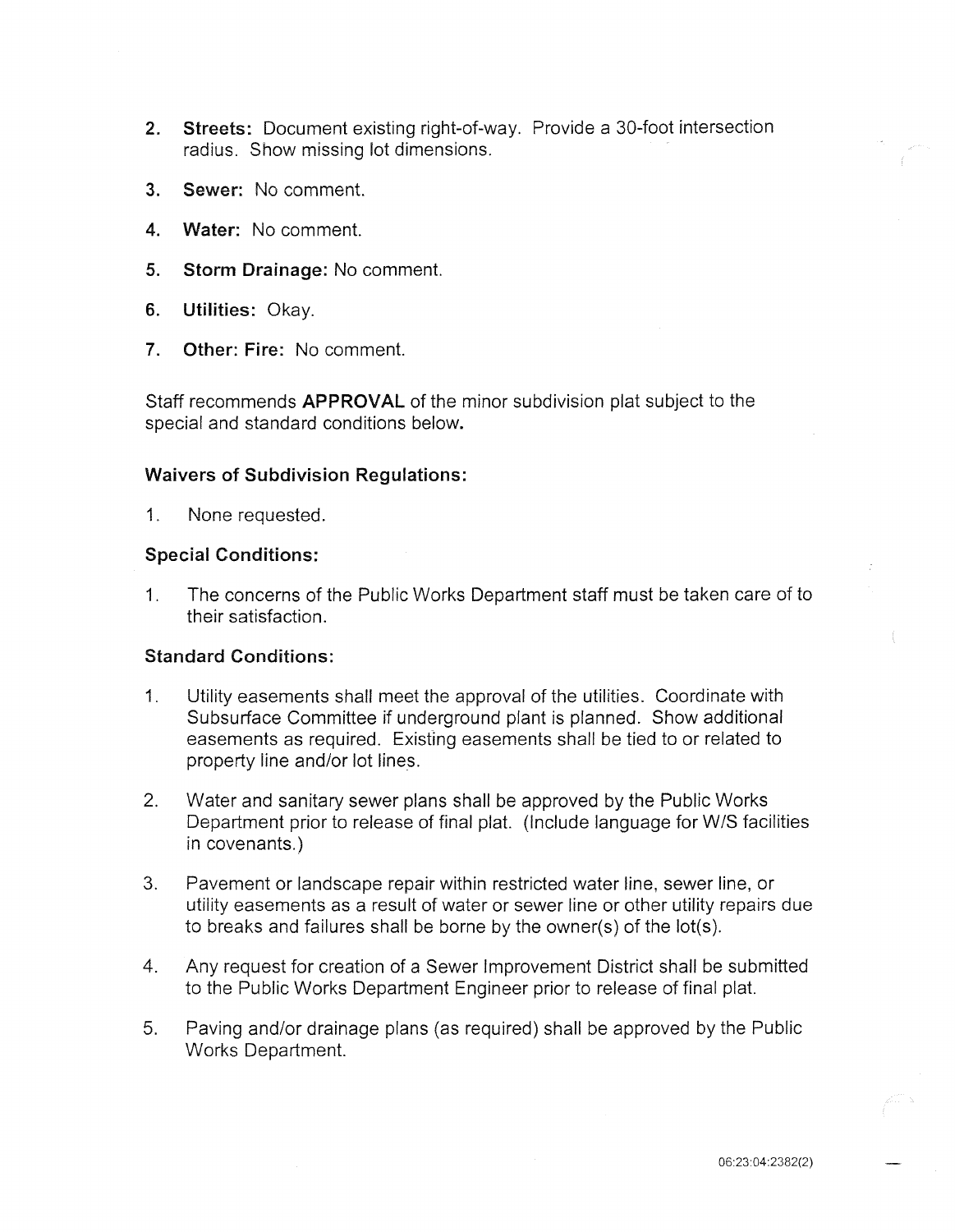- 2. Streets: Document existing right-of-way. Provide a 30-foot intersection radius. Show missing lot dimensions.
- 3. Sewer: No comment.
- 4. Water: No comment.
- 5. Storm Drainage: No comment.
- 6. Utilities: Okay.
- 7. Other: Fire: No comment.

Staff recommends APPROVAL of the minor subdivision plat subject to the special and standard conditions below.

#### Waivers of Subdivision Regulations:

1. None requested.

## Special Conditions:

1. The concerns of the Public Works Department staff must be taken care of to their satisfaction.

## Standard Conditions:

- 1. Utility easements shall meet the approval of the utilities. Coordinate with Subsurface Committee if underground plant is planned. Show additional easements as required. Existing easements shall be tied to or related to property line and/or lot lines.
- 2. Water and sanitary sewer plans shall be approved by the Public Works Department prior to release of final plat. (Include language for W/S facilities in covenants.)
- 3. Pavement or landscape repair within restricted water line, sewer line, or utility easements as a result of water or sewer line or other utility repairs due to breaks and failures shall be borne by the owner(s) of the lot(s).
- 4. Any request for creation of a Sewer Improvement District shall be submitted to the Public Works Department Engineer prior to release of final plat.
- 5. Paving and/or drainage plans (as required) shall be approved by the Public Works Department.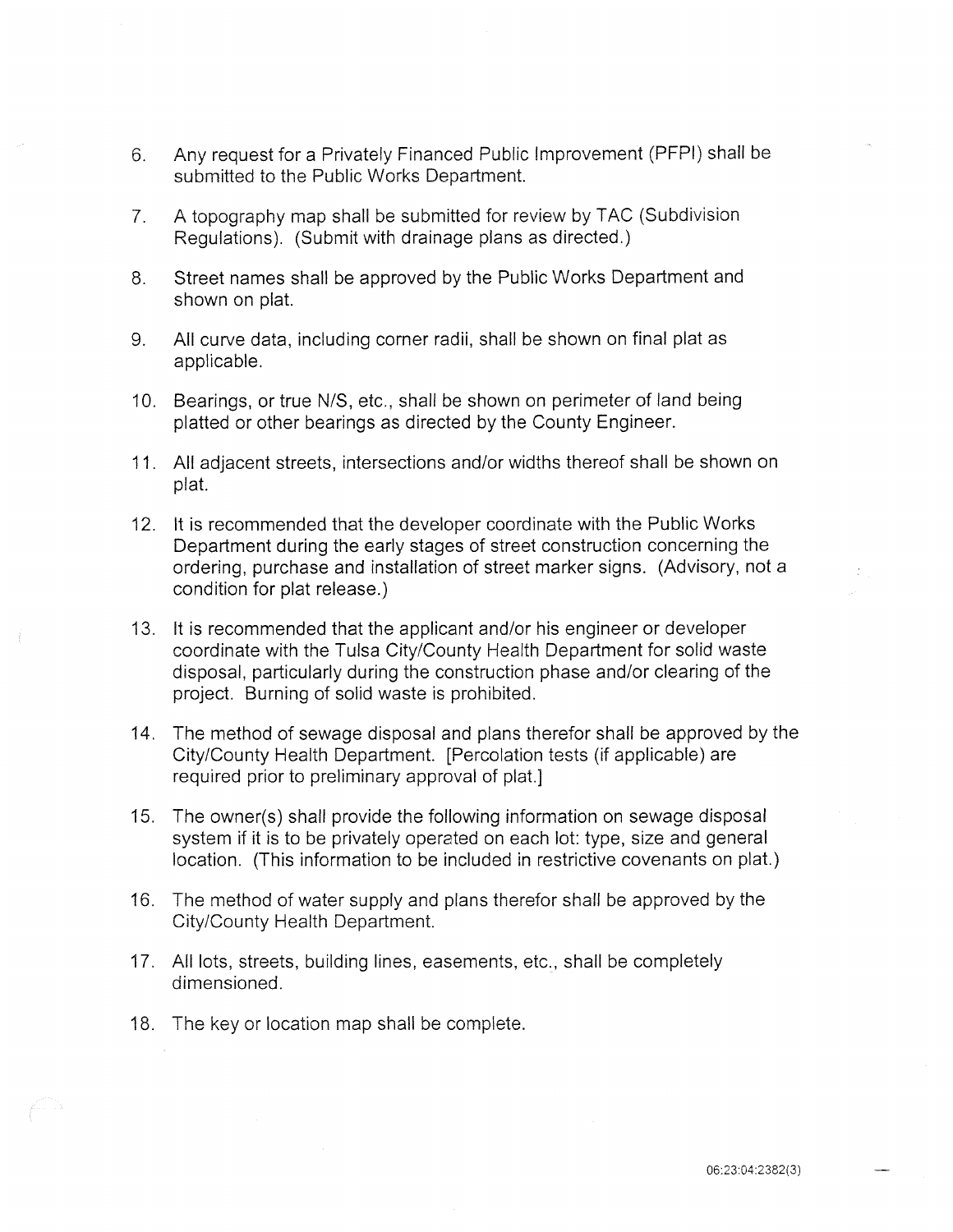- 6. Any request for a Privately Financed Public Improvement (PFPI) shall be submitted to the Public Works Department.
- 7. A topography map shall be submitted for review by TAC (Subdivision Regulations). (Submit with drainage plans as directed.)
- 8. Street names shall be approved by the Public Works Department and shown on plat.
- 9. All curve data, including corner radii, shall be shown on final plat as applicable.
- 10. Bearings, or true N/S, etc., shall be shown on perimeter of land being platted or other bearings as directed by the County Engineer.
- 11. All adjacent streets, intersections and/or widths thereof shall be shown on plat.
- 12. It is recommended that the developer coordinate with the Public Works Department during the early stages of street construction concerning the ordering, purchase and installation of street marker signs. (Advisory, not a condition for plat release.)
- 13. It is recommended that the applicant and/or his engineer or developer coordinate with the Tulsa City/County Health Department for solid waste disposal, particularly during the construction phase and/or clearing of the project. Burning of solid waste is prohibited.
- 14. The method of sewage disposal and plans therefor shall be approved by the City/County Health Department. [Percolation tests (if applicable) are required prior to preliminary approval of plat.]
- 15. The owner(s) shall provide the following information on sewage disposal system if it is to be privately operated on each lot: type, size and general location. (This information to be included in restrictive covenants on plat.)
- 16. The method of water supply and plans therefor shall be approved by the City/County Health Department.
- 17. All lots, streets, building lines, easements, etc., shall be completely dimensioned.
- 18. The key or location map shall be complete.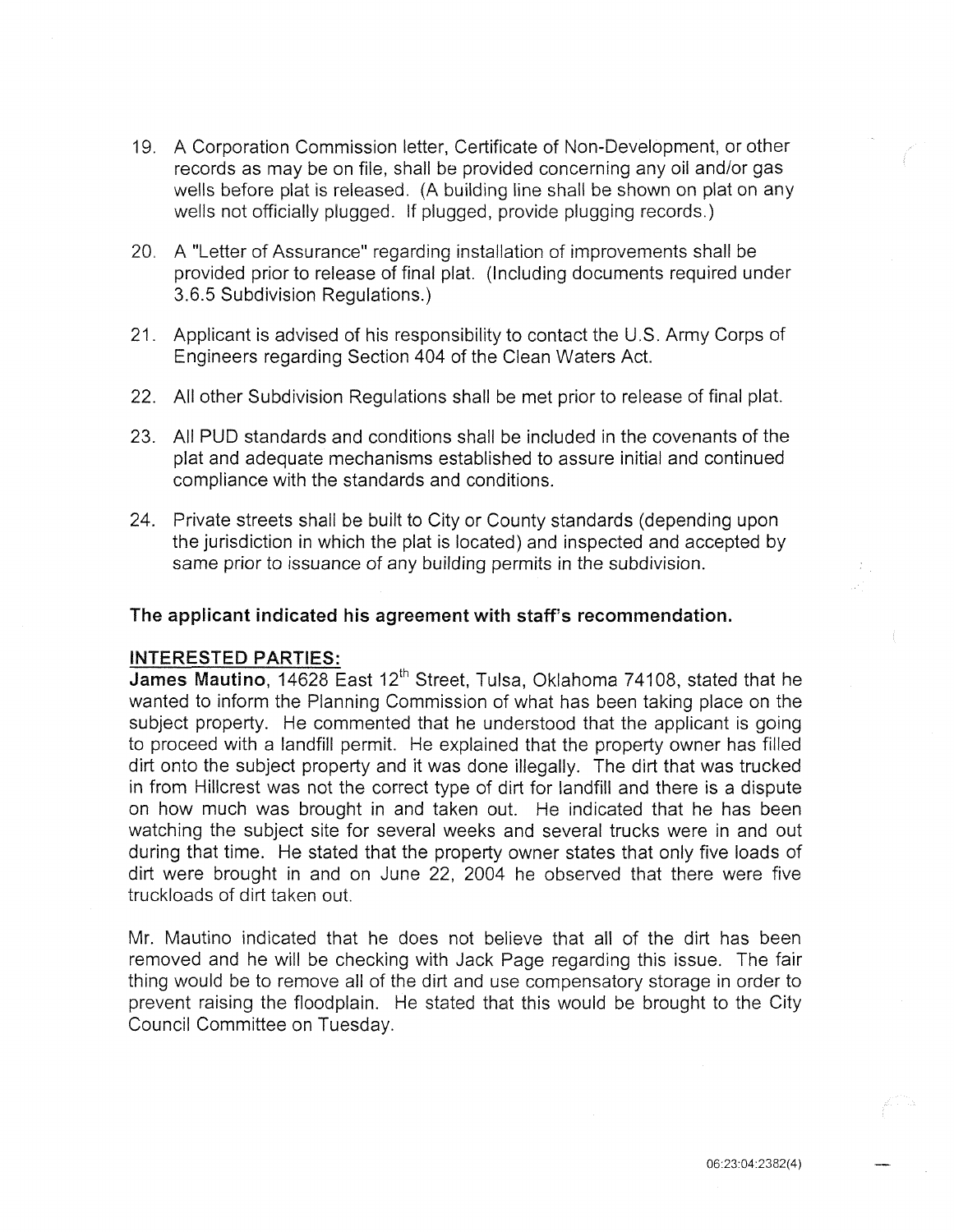- 19. A Corporation Commission letter, Certificate of Non-Development, or other records as may be on file, shall be provided concerning any oil and/or gas wells before plat is released. (A building line shall be shown on plat on any wells not officially plugged. If plugged, provide plugging records.)
- 20. A "Letter of Assurance" regarding installation of improvements shall be provided prior to release of final plat. (Including documents required under 3.6.5 Subdivision Regulations.)
- 21. Applicant is advised of his responsibility to contact the U.S. Army Corps of Engineers regarding Section 404 of the Clean Waters Act.
- 22. All other Subdivision Regulations shall be met prior to release of final plat.
- 23. All PUD standards and conditions shall be included in the covenants of the plat and adequate mechanisms established to assure initial and continued compliance with the standards and conditions.
- 24. Private streets shali be built to City or County standards (depending upon the jurisdiction in which the plat is located) and inspected and accepted by same prior to issuance of any building permits in the subdivision.

## The applicant indicated his agreement with staff's recommendation.

#### INTERESTED PARTIES:

James Mautino, 14628 East 12<sup>th</sup> Street, Tulsa, Oklahoma 74108, stated that he wanted to inform the Planning Commission of what has been taking place on the subject property. He commented that he understood that the applicant is going to proceed with a landfill permit. He explained that the property owner has filled dirt onto the subject property and it was done illegally. The dirt that was trucked in from Hillcrest was not the correct type of dirt for landfill and there is a dispute on how much was brought in and taken out. He indicated that he has been watching the subject site for several weeks and several trucks were in and out during that time. He stated that the property owner states that only five loads of dirt were brought in and on June 22, 2004 he observed that there were five truckloads of dirt taken out.

Mr. Mautino indicated that he does not believe that all of the dirt has been removed and he will be checking with Jack Page regarding this issue. The fair thing would be to remove all of the dirt and use compensatory storage in order to prevent raising the floodplain. He stated that this would be brought to the City Council Committee on Tuesday.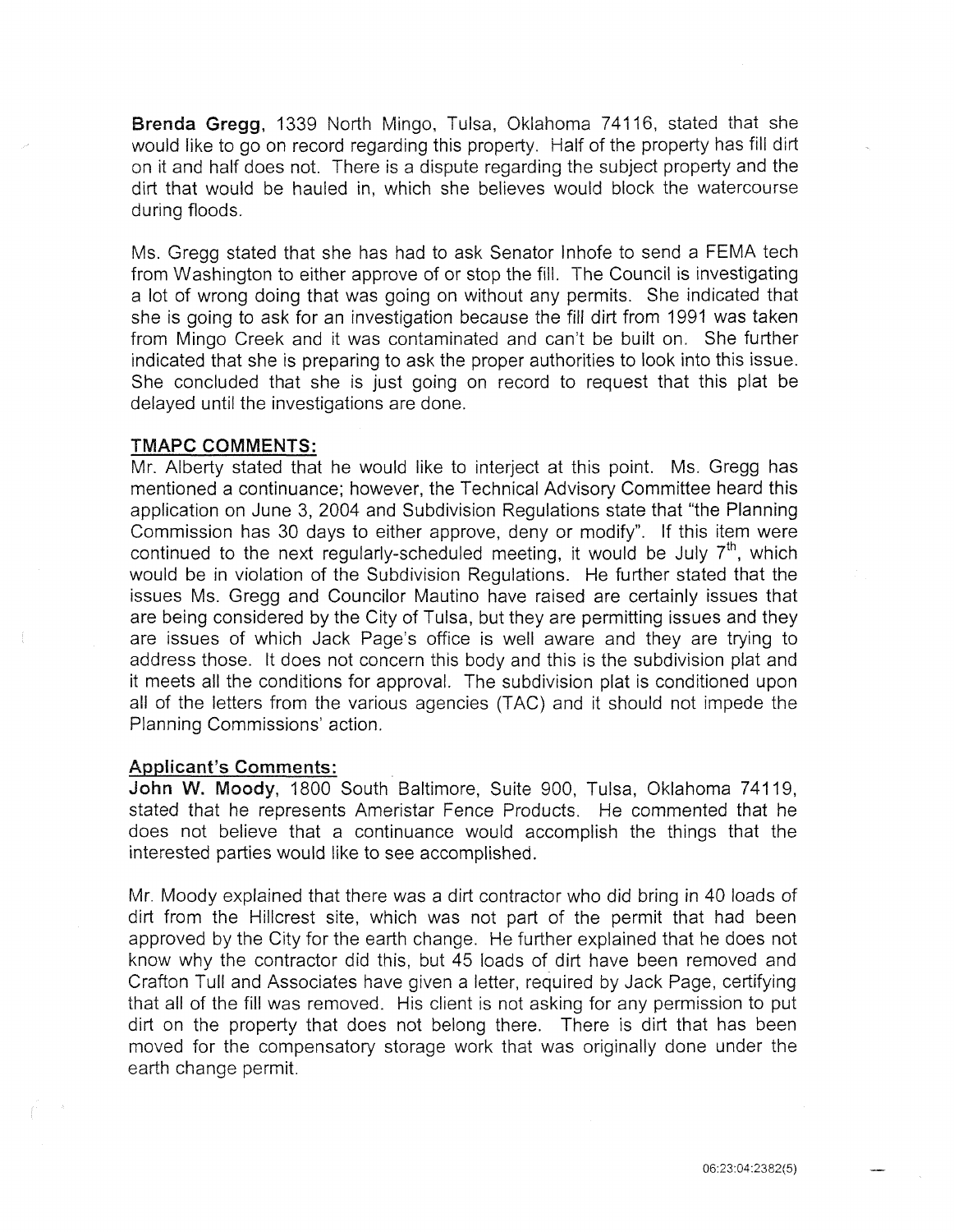Brenda Gregg, 1339 North Mingo, Tulsa, Oklahoma 74116, stated that she would iike to go on record regarding this property. Half of the property has fill dirt on it and half does not. There is a dispute regarding the subject property and the dirt that would be hauled in, which she believes would block the watercourse during floods.

Ms. Gregg stated that she has had to ask Senator lnhofe to send a FEMA tech from Washington to either approve of or stop the fill. The Council is investigating a lot of wrong doing that was going on without any permits. She indicated that she is going to ask for an investigation because the fill dirt from 1991 was taken from Mingo Creek and it was contaminated and can't be built on. She further indicated that she is preparing to ask the proper authorities to look into this issue. She concluded that she is just going on record to request that this plat be delayed until the investigations are done.

#### **TMAPC COMMENTS:**

Mr. Alberty stated that he would like to interject at this point. Ms. Gregg has mentioned a continuance; however, the Technical Advisory Committee heard this application on June 3, 2004 and Subdivision Regulations state that "the Planning Commission has 30 days to either approve, deny or modify". If this item were continued to the next regularly-scheduled meeting, it would be July  $7<sup>th</sup>$ , which would be in violation of the Subdivision Regulations. He further stated that the issues Ms. Gregg and Councilor Mautino have raised are certainly issues that are being considered by the City of Tulsa, but they are permitting issues and they are issues of which Jack Page's office is well aware and they are trying to address those. It does not concern this body and this is the subdivision plat and it meets all the conditions for approval. The subdivision plat is conditioned upon all of the letters from the various agencies (TAC) and it should not impede the Planning Commissions' action.

#### Applicant's Comments:

John W. Moody, 1800 South Baltimore, Suite 900, Tulsa, Oklahoma 74119, stated that he represents Ameristar Fence Products. He commented that he does not believe that a continuance would accomplish the things that the interested parties would like to see accomplished.

Mr. Moody explained that there was a dirt contractor who did bring in 40 loads of dirt from the Hillcrest site, which was not part of the permit that had been approved by the City for the earth change. He further explained that he does not know why the contractor did this, but 45 loads of dirt have been removed and Crafton Tull and Associates have given a letter, required by Jack Page, certifying that all of the fill was removed. His client is not asking for any permission to put dirt on the property that does not belong there. There is dirt that has been moved for the compensatory storage work that was originally done under the earth change permit.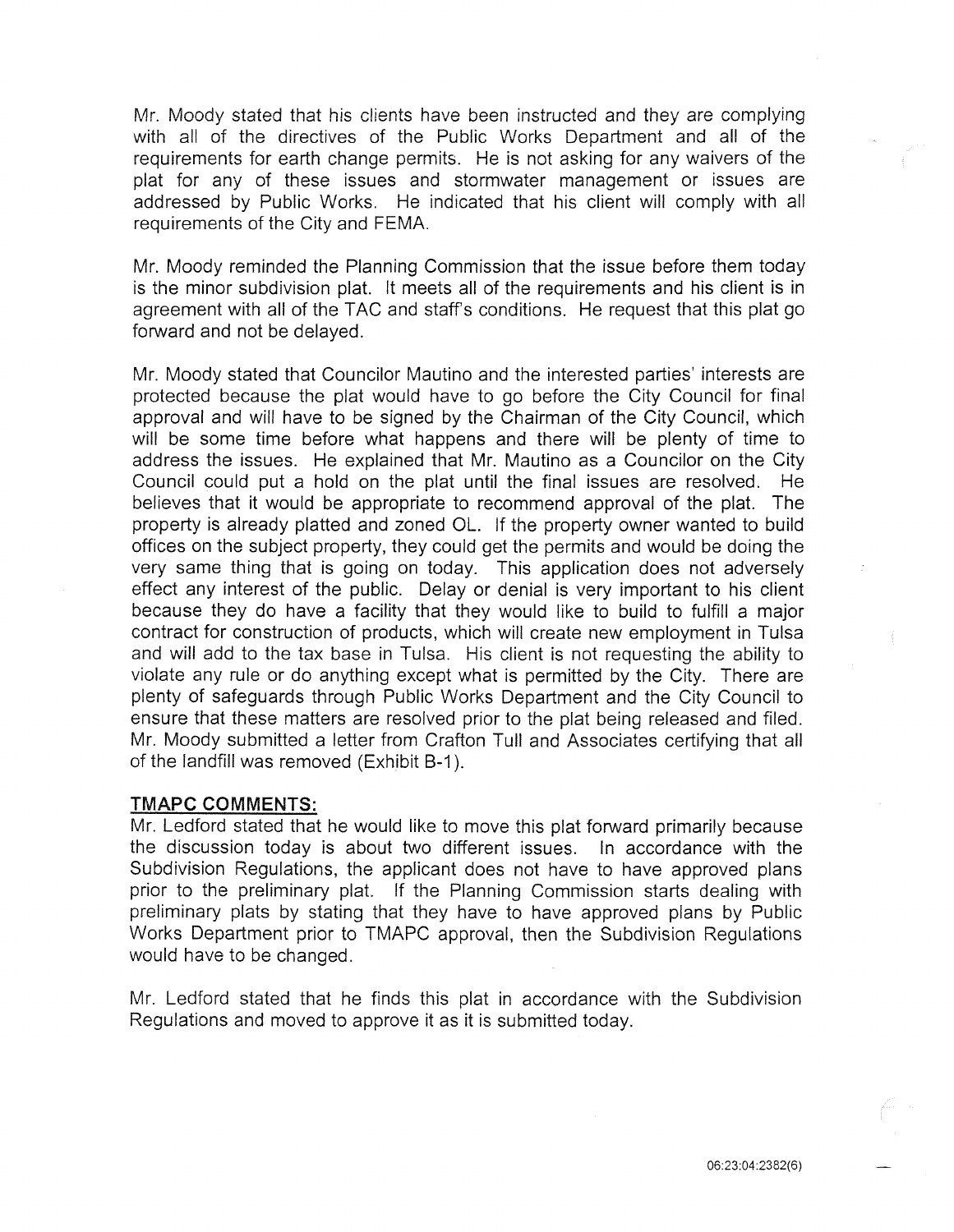Mr. Moody stated that his clients have been instructed and they are complying with all of the directives of the Public Works Department and all of the requirements for earth change permits. He is not asking for any waivers of the plat for any of these issues and stormwater management or issues are addressed by Public Works. He indicated that his client will comply with all requirements of the City and FEMA.

Mr. Moody reminded the Planning Commission that the issue before them today is the minor subdivision plat. It meets all of the requirements and his client is in agreement with all of the TAC and staff's conditions. He request that this plat go forward and not be delayed.

Mr. Moody stated that Councilor Mautino and the interested parties' interests are protected because the plat would have to go before the City Council for final approval and will have to be signed by the Chairman of the City Council, which will be some time before what happens and there will be plenty of time to address the issues. He explained that Mr. Mautino as a Councilor on the City Council could put a hold on the plat until the final issues are resolved. He believes that it would be appropriate to recommend approval of the plat. The property is already platted and zoned OL. If the property owner wanted to build offices on the subject property, they could get the permits and would be doing the very same thing that is going on today. This application does not adversely effect any interest of the public. Delay or denial is very important to his client because they do have a facility that they would like to build to fulfill a major contract for construction of products, which will create new employment in Tulsa and will add to the tax base in Tulsa. His client is not requesting the ability to violate any rule or do anything except what is permitted by the City. There are plenty of safeguards through Public Works Department and the City Council to ensure that these matters are resolved prior to the plat being released and filed. Mr. Moody submitted a letter from Crafton Tull and Associates certifying that all of the landfill was removed (Exhibit B-1 ).

#### TMAPC COMMENTS:

Mr. Ledford stated that he would like to move this plat forward primarily because the discussion today is about two different issues. In accordance with the Subdivision Regulations, the applicant does not have to have approved plans prior to the preliminary plat. If the Planning Commission starts dealing with preliminary plats by stating that they have to have approved plans by Public Works Department prior to TMAPC approval, then the Subdivision Regulations would have to be changed.

Mr. Ledford stated that he finds this plat in accordance with the Subdivision Regulations and moved to approve it as it is submitted today.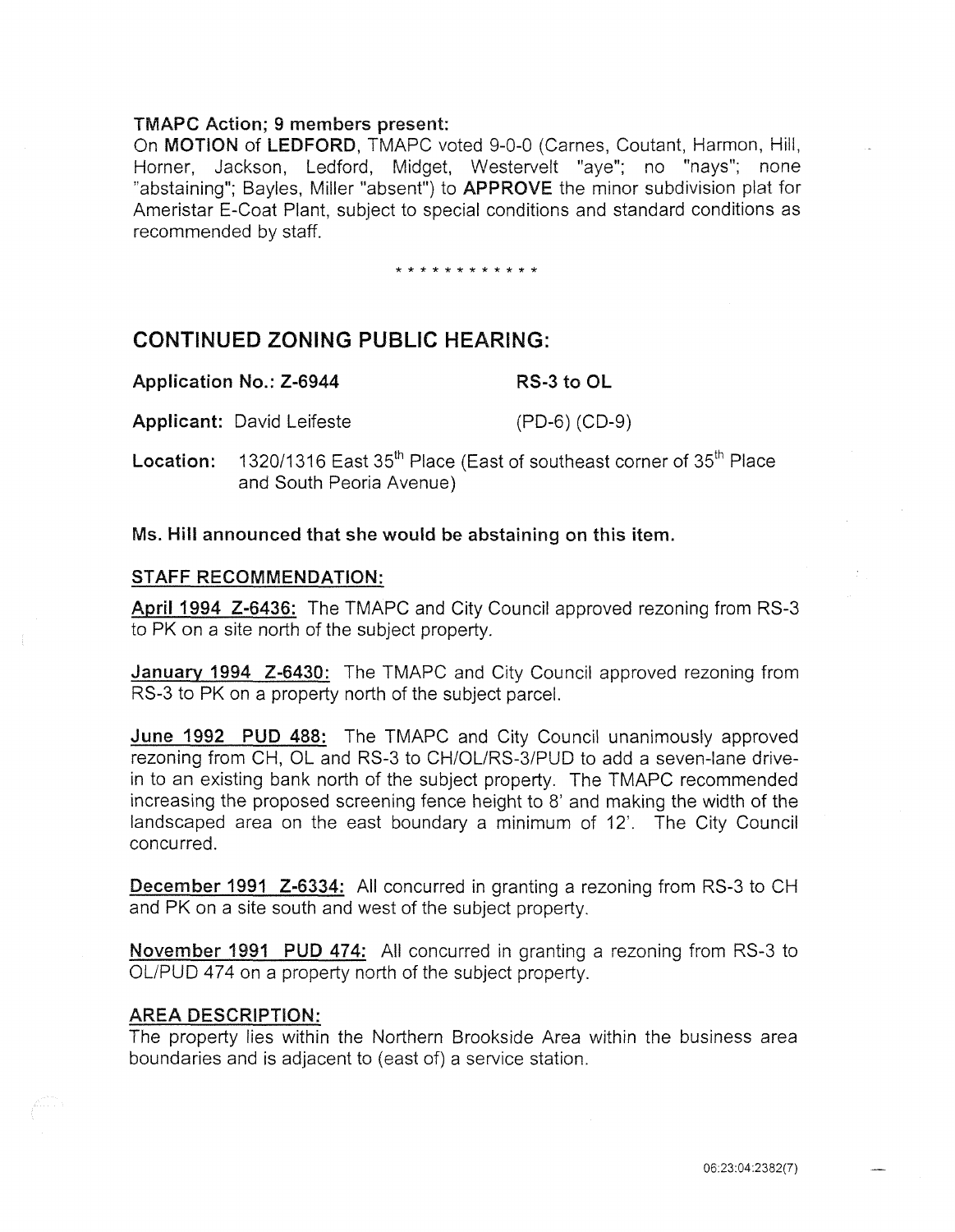## TMAPC Action; 9 members present:

On MOTION of LEDFORD, TMAPC voted 9-0-0 (Carnes, Coutant, Harmon, Hill, Horner, Jackson, Ledford, Midget, Westervelt "aye"; no "nays"; none "abstaining"; Bayles, Miller "absent") to APPROVE the minor subdivision plat for Ameristar E-Coat Plant, subject to special conditions and standard conditions as recommended by staff.

#### \* \* \* \* \* \* \* \* \* \* \* \*

## CONTINUED ZONING PUBLIC HEARING:

Applicant: David Leifeste (PD-6) (CD-9)

**Location:** 1320/1316 East 35<sup>th</sup> Place (East of southeast corner of 35<sup>th</sup> Place and South Peoria Avenue)

#### Ms. Hill announced that she would be abstaining on this item.

### STAFF RECOMMENDATION:

April 1994 Z-6436: The TMAPC and City Council approved rezoning from RS-3 to PK on a site north of the subject property.

January 1994 Z-6430: The TMAPC and City Council approved rezoning from RS-3 to PK on a property north of the subject parcel.

June 1992 PUD 488: The TMAPC and City Council unanimously approved rezoning from CH, OL and RS-3 to CH/OL/RS-3/PUD to add a seven-lane drivein to an existing bank north of the subject property. The TMAPC recommended increasing the proposed screening fence height to 8' and making the width of the landscaped area on the east boundary a minimum of 12'. The City Council concurred.

December 1991 Z-6334: All concurred in granting a rezoning from RS-3 to CH and PK on a site south and west of the subject property.

November 1991 PUD 474: All concurred in granting a rezoning from RS-3 to OL/PUD 474 on a property north of the subject property.

#### AREA DESCRIPTION:

The property lies within the Northern Brookside Area within the business area boundaries and is adjacent to (east of) a service station.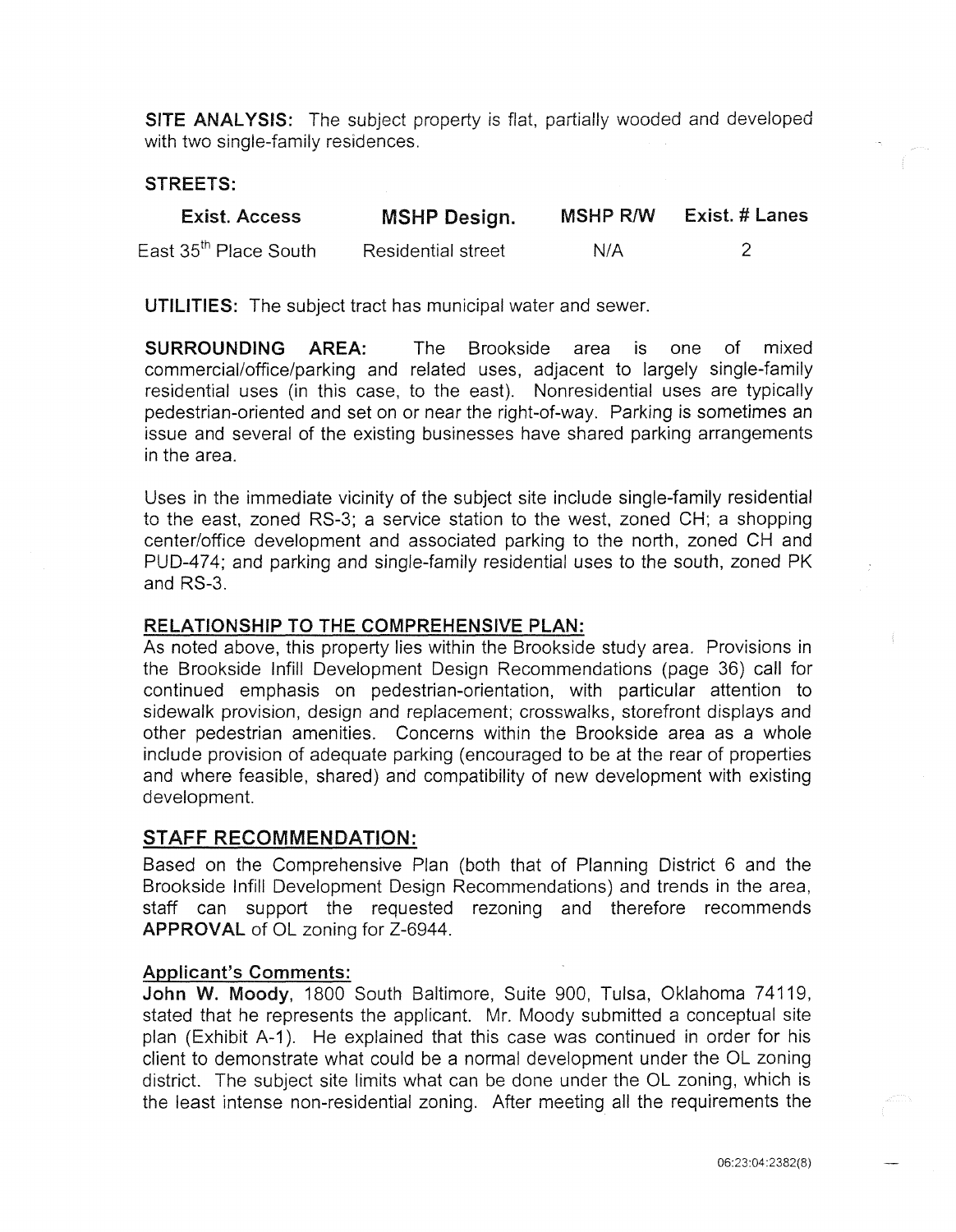SITE ANALYSIS: The subject property is flat, partially wooded and developed with two single-family residences.

## STREETS:

| <b>Exist. Access</b>              | <b>MSHP Design.</b>       | <b>MSHP R/W</b> | <b>Exist. # Lanes</b> |
|-----------------------------------|---------------------------|-----------------|-----------------------|
| East 35 <sup>th</sup> Place South | <b>Residential street</b> | N/A             |                       |

UTILITIES: The subject tract has municipal water and sewer.

SURROUNDING AREA: The Brookside area is one of mixed commercial/office/parking and related uses, adjacent to largely single-family residential uses (in this case, to the east). Nonresidential uses are typically pedestrian-oriented and set on or near the right-of-way. Parking is sometimes an issue and several of the existing businesses have shared parking arrangements in the area.

Uses in the immediate vicinity of the subject site include single-family residential to the east, zoned RS-3; a service station to the west, zoned CH; a shopping center/office development and associated parking to the north, zoned CH and PUD-474; and parking and single-family residential uses to the south, zoned PK and RS-3.

## RELATIONSHIP TO THE COMPREHENSIVE PLAN:

As noted above, this property lies within the Brookside study area. Provisions in the Brookside lnfill Development Design Recommendations (page 36) call for continued emphasis on pedestrian-orientation, with particular attention to sidewalk provision, design and replacement; crosswalks, storefront displays and other pedestrian amenities. Concerns within the Brookside area as a whole include provision of adequate parking (encouraged to be at the rear of properties and where feasible, shared) and compatibility of new development with existing development.

## STAFF RECOMMENDATION:

Based on the Comprehensive Plan (both that of Planning District 6 and the Brookside lnfill Development Design Recommendations) and trends in the area, staff can support the requested rezoning and therefore recommends APPROVAL of OL zoning for Z-6944.

#### Applicant's Comments:

John W. Moody, 1800 South Baltimore, Suite 900, Tulsa, Oklahoma 74119, stated that he represents the applicant. Mr. Moody submitted a conceptual site plan (Exhibit A-1). He explained that this case was continued in order for his client to demonstrate what could be a normal development under the OL zoning district. The subject site limits what can be done under the OL zoning, which is the least intense non-residential zoning. After meeting all the requirements the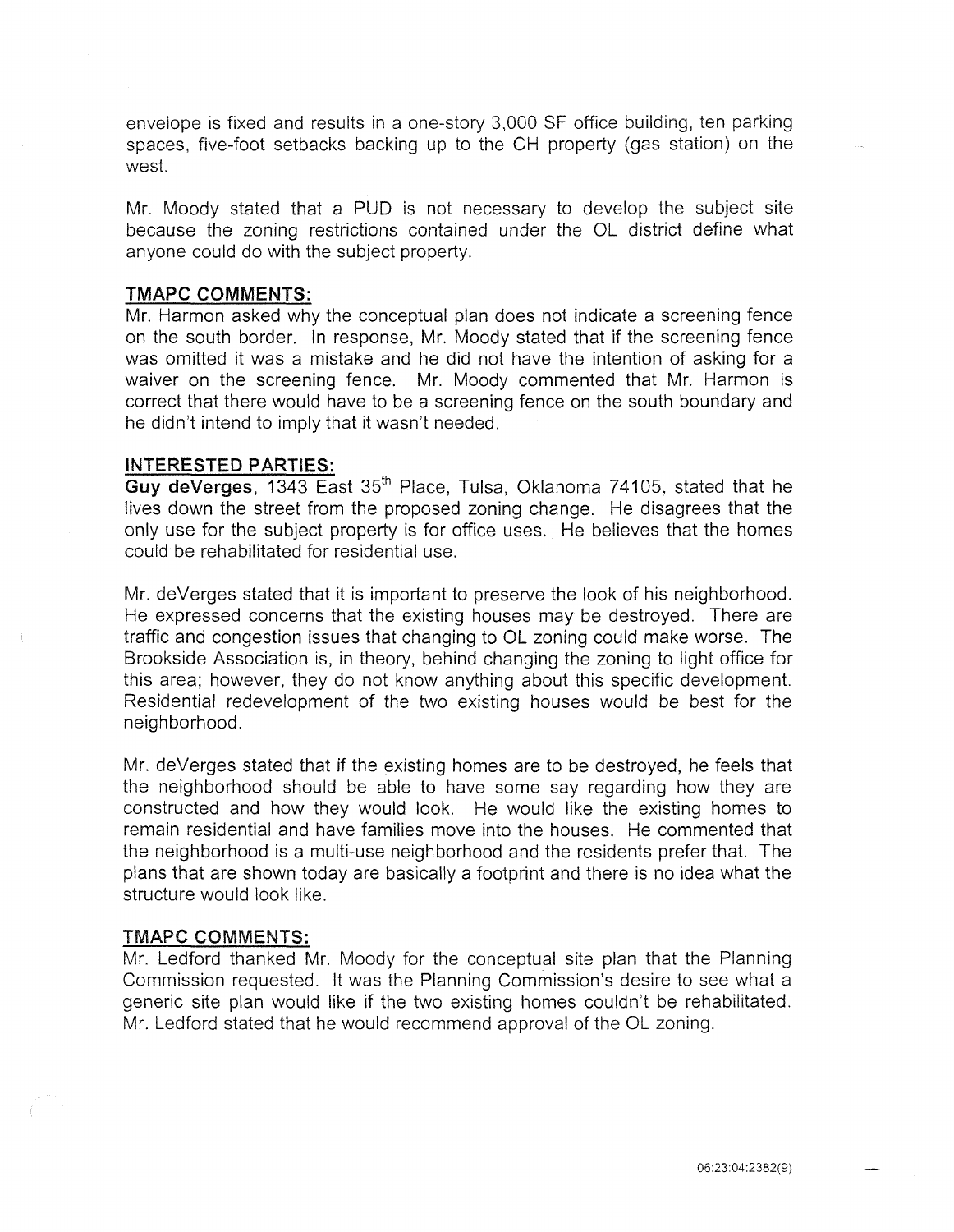envelope is fixed and results in a one-story 3,000 SF office building, ten parking spaces, five-foot setbacks backing up to the CH property (gas station) on the west.

Mr. Moody stated that a PUD is not necessary to develop the subject site because the zoning restrictions contained under the OL district define what anyone could do with the subject property.

#### **TMAPC COMMENTS:**

Mr. Harmon asked why the conceptual plan does not indicate a screening fence on the south border. In response, Mr. Moody stated that if the screening fence was omitted it was a mistake and he did not have the intention of asking for a waiver on the screening fence. Mr. Moody commented that Mr. Harmon is correct that there would have to be a screening fence on the south boundary and he didn't intend to imply that it wasn't needed.

#### **INTERESTED PARTIES:**

Guy deVerges, 1343 East 35<sup>th</sup> Place, Tulsa, Oklahoma 74105, stated that he lives down the street from the proposed zoning change. He disagrees that the only use for the subject property is for office uses. He believes that the homes could be rehabilitated for residential use.

Mr. deVerges stated that it is important to preserve the look of his neighborhood. He expressed concerns that the existing houses may be destroyed. There are traffic and congestion issues that changing to OL zoning could make worse. The Brookside Association is, in theory, behind changing the zoning to light office for this area; however, they do not know anything about this specific development. Residential redevelopment of the two existing houses would be best for the neighborhood.

Mr. deVerges stated that if the existing homes are to be destroyed, he feels that the neighborhood should be able to have some say regarding how they are constructed and how they would look. He would like the existing homes to remain residential and have families move into the houses. He commented that the neighborhood is a multi-use neighborhood and the residents prefer that. The plans that are shown today are basically a footprint and there is no idea what the structure would look like.

#### TMAPC **COMMENTS:**

Mr. Ledford thanked Mr. Moody for the conceptual site plan that the Planning Commission requested. It was the Planning Commission's desire to see what a generic site plan would like if the two existing homes couldn't be rehabilitated. Mr. Ledford stated that he would recommend approval of the OL zoning.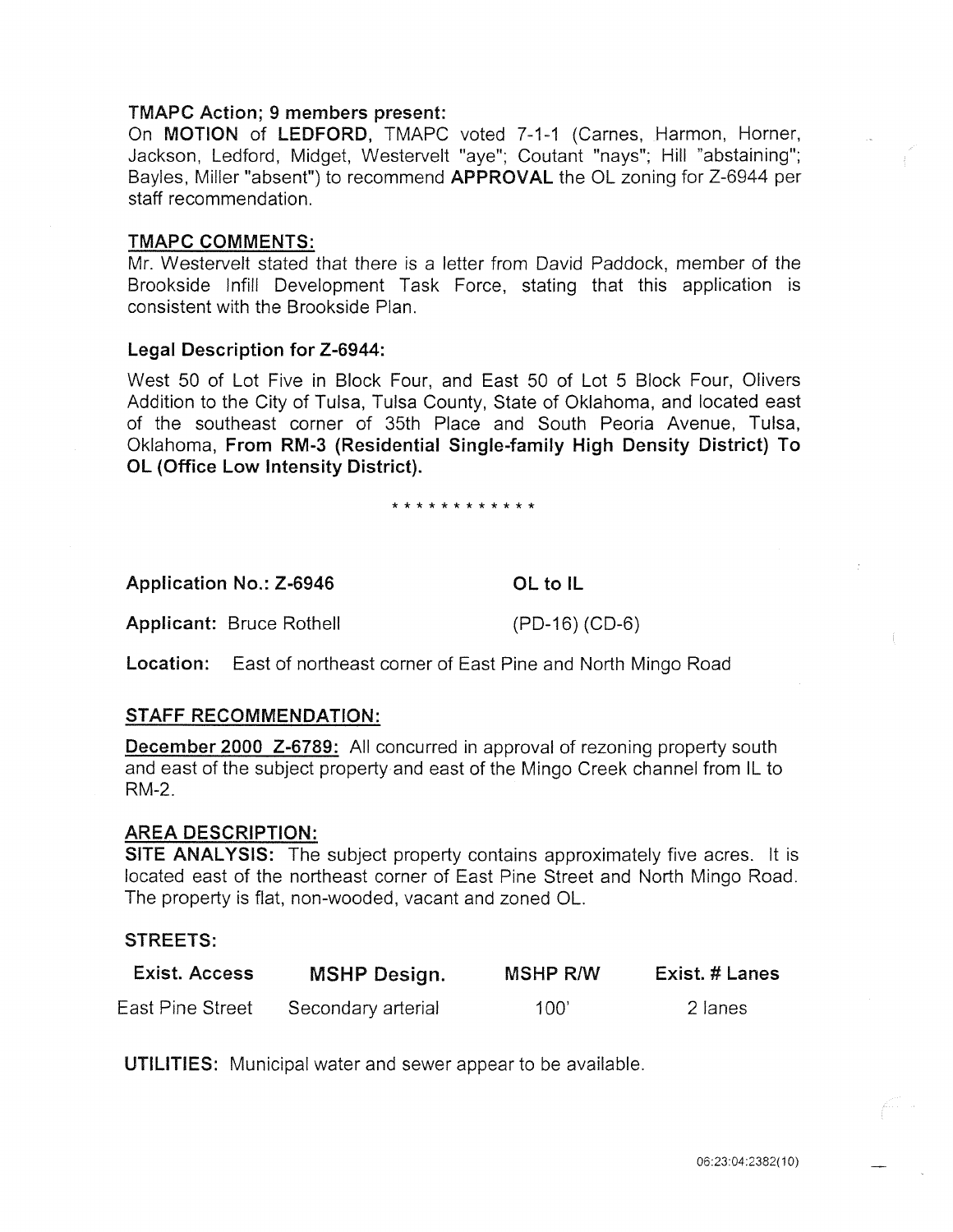## TMAPC Action; 9 members present:

On MOTION of LEDFORD, TMAPC voted 7-1-1 (Carnes, Harmon, Horner, Jackson, Ledford, Midget, Westervelt "aye"; Coutant "nays"; Hill "abstaining"; Bayles, Miller "absent") to recommend APPROVAL the OL zoning for Z-6944 per staff recommendation.

#### TMAPC COMMENTS:

Mr. Westervelt stated that there is a letter from David Paddock, member of the Brookside lnfill Development Task Force, stating that this application is consistent with the Brookside Plan.

### Legal Description for Z-6944:

West 50 of Lot Five in Block Four, and East 50 of Lot 5 Block Four, Olivers Addition to the City of Tulsa, Tulsa County, State of Oklahoma, and located east of the southeast corner of 35th Place and South Peoria Avenue, Tulsa, Oklahoma, From RM-3 (Residential Single-family High Density District) To OL (Office Low Intensity District).

#### \* \* \* \* \* \* \* \* \* \* \* \*

Application No.: Z-6946 **OL to IL** 

Applicant: Bruce Rothell (PD-16) (CD-6)

Location: East of northeast corner of East Pine and North Mingo Road

## STAFF RECOMMENDATION:

December 2000 Z-6789: All concurred in approval of rezoning property south and east of the subject property and east of the Mingo Creek channel from IL to RM-2.

#### AREA DESCRIPTION:

SITE ANALYSIS: The subject property contains approximately five acres. It is located east of the northeast corner of East Pine Street and North Mingo Road. The property is flat, non-wooded, vacant and zoned OL.

## STREETS:

| Exist. Access    | <b>MSHP Design.</b> | MSHP R/W | Exist. # Lanes |
|------------------|---------------------|----------|----------------|
| East Pine Street | Secondary arterial  | 100'     | 2 lanes        |

UTILITIES: Municipal water and sewer appear to be available.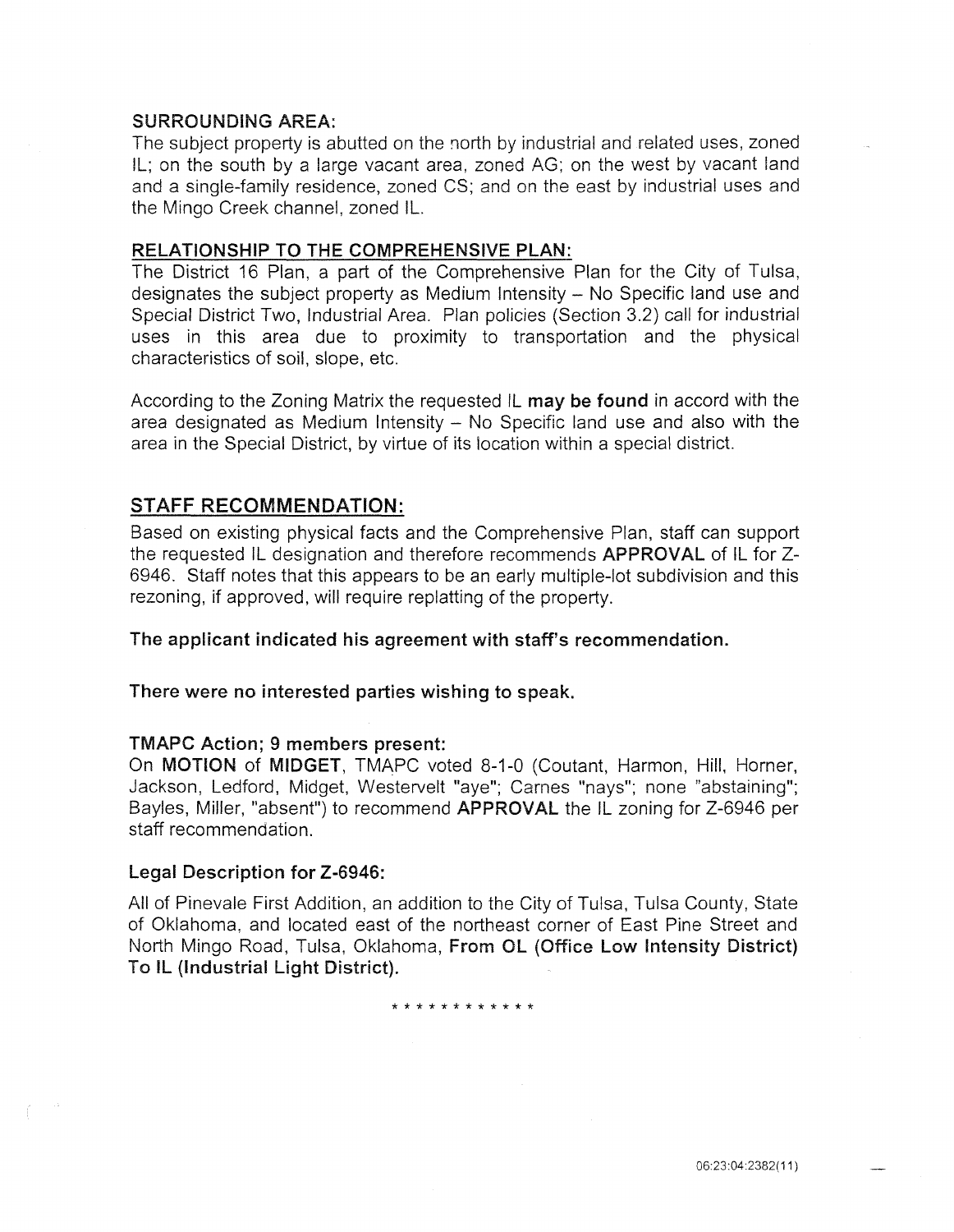## SURROUNDING AREA:

The subject property is abutted on the north by industrial and related uses, zoned IL; on the south by a large vacant area, zoned AG; on the west by vacant land and a single-family residence, zoned CS; and on the east by industrial uses and the Mingo Creek channel, zoned IL.

### RELATIONSHIP TO THE COMPREHENSIVE PLAN:

The District 16 Plan, a part of the Comprehensive Plan for the City of Tulsa, designates the subject property as Medium Intensity- No Specific land use and Special District Two, Industrial Area. Plan policies (Section 3.2) call for industrial uses in this area due to proximity to transportation and the physical characteristics of soil, slope, etc.

According to the Zoning Matrix the requested IL may be found in accord with the area designated as Medium Intensity  $-$  No Specific land use and also with the area in the Special District, by virtue of its location within a special district.

## STAFF RECOMMENDATION:

Based on existing physical facts and the Comprehensive Plan, staff can support the requested IL designation and therefore recommends APPROVAL of IL for Z-6946. Staff notes that this appears to be an early multiple-lot subdivision and this rezoning, if approved, will require replatting of the property.

The applicant indicated his agreement with staff's recommendation.

There were no interested parties wishing to speak.

### TMAPC Action; 9 members present:

On MOTION of MIDGET, TMAPC voted 8-1-0 (Coutant, Harmon, Hill, Horner, Jackson, Ledford, Midget, Westervelt "aye"; Carnes "nays"; none "abstaining"; Bayles, Miller, "absent") to recommend **APPROVAL** the IL zoning for Z-6946 per staff recommendation.

#### Legal Description for Z-6946:

All of Pinevale First Addition, an addition to the City of Tulsa, Tulsa County, State of Oklahoma, and located east of the northeast corner of East Pine Street and North Mingo Road, Tulsa, Oklahoma, From OL (Office Low Intensity District) To IL (Industrial Light District).

\* \* \* \* \* \* \* \* \* \* \* \*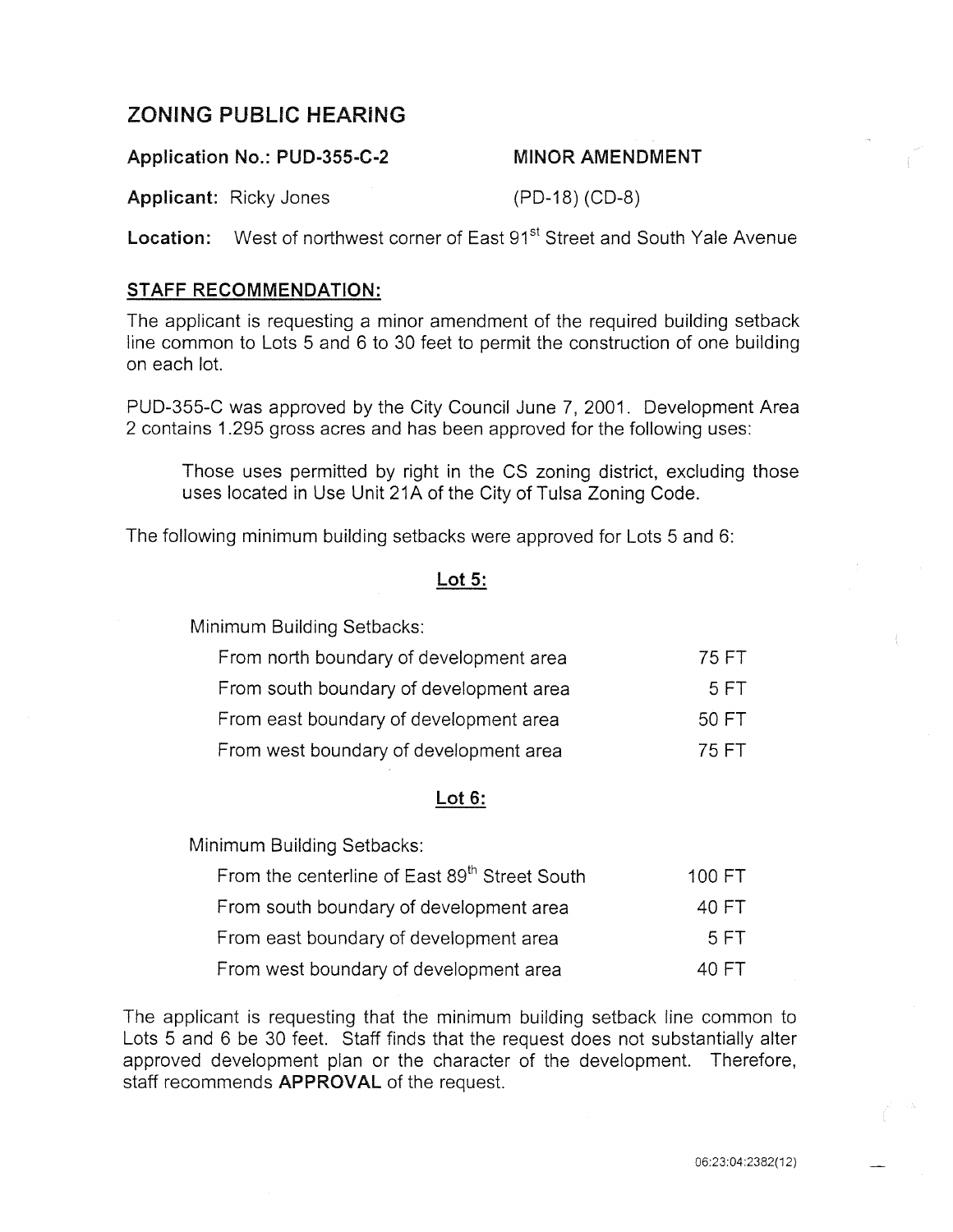# **ZONING PUBLIC HEARING**

## **Application No.: PUD-355-C-2** MINOR **AMENDMENT**

**Applicant:** Ricky Jones (PD-18) (CD-8)

**Location:** West of northwest corner of East 91<sup>st</sup> Street and South Yale Avenue

## **STAFF RECOMMENDATION:**

The applicant is requesting a minor amendment of the required building setback line common to Lots 5 and 6 to 30 feet to permit the construction of one building on each lot.

PUD-355-C was approved by the City Council June 7, 2001. Development Area 2 contains **1** .295 gross acres and has been approved for the following uses:

Those uses permitted by right in the CS zoning district, excluding those uses located in Use Unit 21A of the City of Tulsa Zoning Code.

The following minimum building setbacks were approved for Lots 5 and 6:

## **Lot 5:**

Minimum Building Setbacks:

| From north boundary of development area | 75 FT |
|-----------------------------------------|-------|
| From south boundary of development area | 5 FT  |
| From east boundary of development area  | 50 FT |
| From west boundary of development area  | 75 FT |

## **Lot 6:**

Minimum Building Setbacks:

| From the centerline of East 89 <sup>th</sup> Street South | 100 FT |
|-----------------------------------------------------------|--------|
| From south boundary of development area                   | 40 FT  |
| From east boundary of development area                    | 5 FT   |
| From west boundary of development area                    | 40 FT  |

The applicant is requesting that the minimum building setback line common to Lots 5 and 6 be 30 feet. Staff finds that the request does not substantially alter approved development plan or the character of the development. Therefore, staff recommends **APPROVAL** of the request.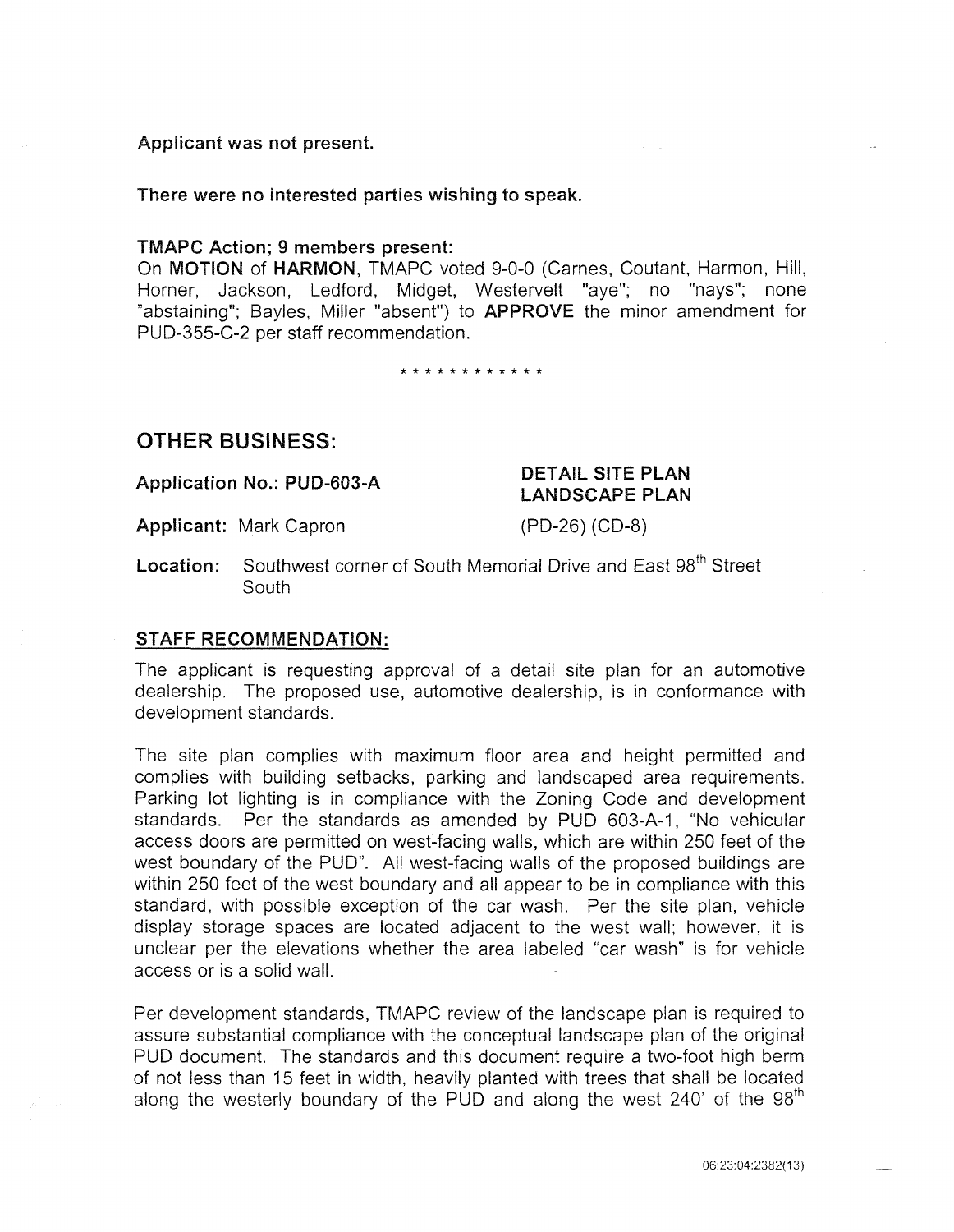## Applicant was not present.

There were no interested parties wishing to speak.

#### TMAPC Action; 9 members present:

On MOTION of HARMON, TMAPC voted 9-0-0 (Carnes, Coutant, Harmon, Hill, Horner, Jackson, Ledford, Midget, Westervelt "aye"; no "nays"; none "abstaining"; Bayles, Miller "absent") to APPROVE the minor amendment for PUD-355-C-2 per staff recommendation.

\* \* \* \* \* \* \* \* \* \* \* \*

## **OTHER** BUSINESS:

Application No.: PUD-603-A

### Applicant: Mark Capron

(PD-26) (CD-8)

DETAIL SITE PLAN LANDSCAPE PLAN

**Location:** Southwest corner of South Memorial Drive and East 98<sup>th</sup> Street **South** 

## STAFF RECOMMENDATION:

The applicant is requesting approval of a detail site plan for an automotive dealership. The proposed use, automotive dealership, is in conformance with development standards.

The site plan complies with maximum floor area and height permitted and complies with building setbacks, parking and landscaped area requirements. Parking lot lighting is in compliance with the Zoning Code and development standards. Per the standards as amended by PUD 603-A-1, "No vehicular access doors are permitted on west-facing walls, which are within 250 feet of the west boundary of the PUD". All west-facing walls of the proposed buildings are within 250 feet of the west boundary and all appear to be in compliance with this standard, with possible exception of the car wash. Per the site plan, vehicle display storage spaces are located adjacent to the west wall; however, it is unclear per the elevations whether the area labeled "car wash" is for vehicle access or is a solid wall.

Per development standards, TMAPC review of the landscape plan is required to assure substantial compliance with the conceptual landscape plan of the original PUD document. The standards and this document require a two-foot high berm of not less than 15 feet in width, heavily planted with trees that shall be located along the westerly boundary of the PUD and along the west 240' of the  $98<sup>th</sup>$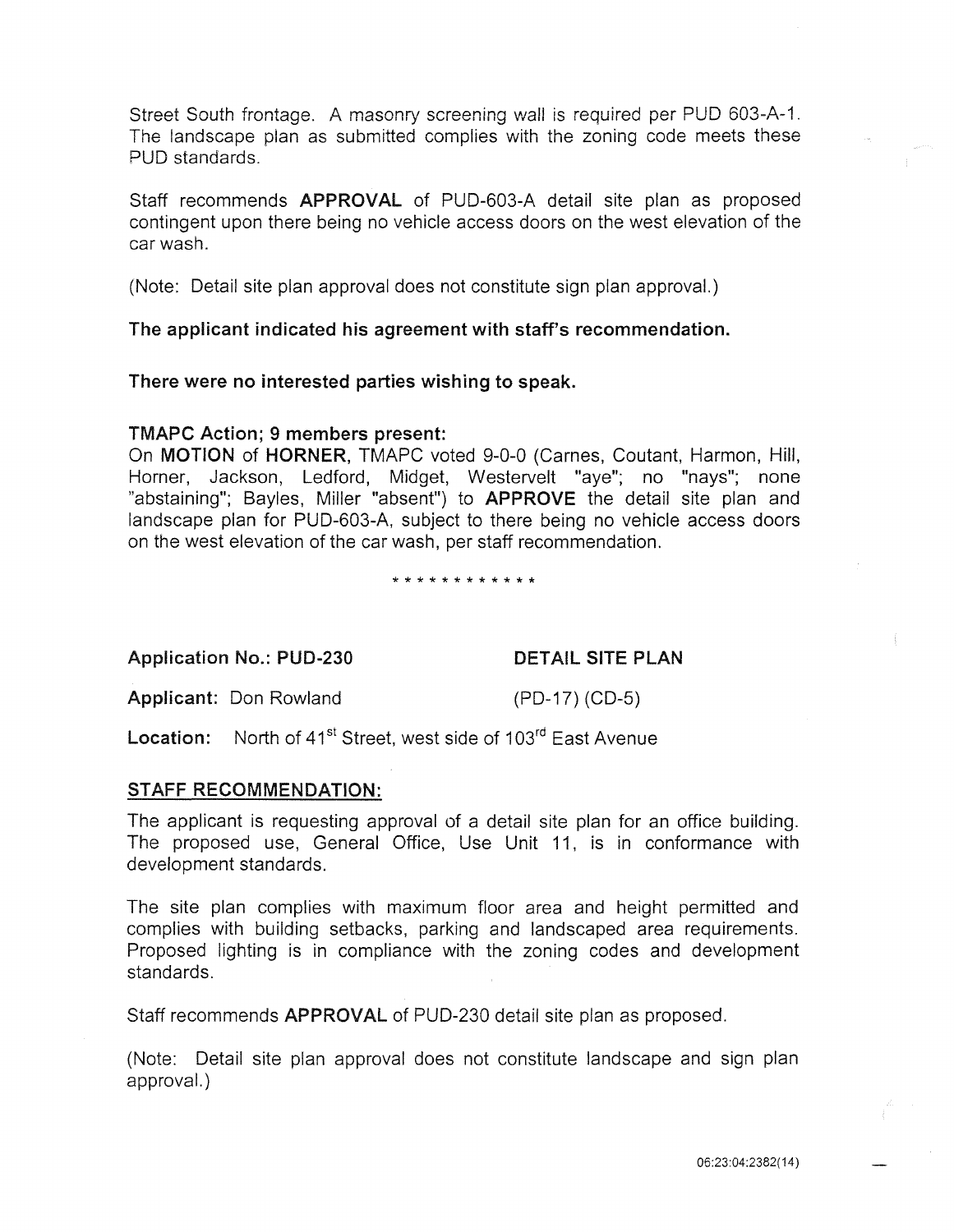Street South frontage. A masonry screening wall is required per PUD 603-A-1. The landscape plan as submitted complies with the zoning code meets these PUD standards.

Staff recommends APPROVAL of PUD-603-A detail site plan as proposed contingent upon there being no vehicle access doors on the west elevation of the car wash.

(Note: Detail site plan approval does not constitute sign plan approval.)

The applicant indicated his agreement with staff's recommendation.

There were no interested parties wishing to speak.

### TMAPC Action; 9 members present:

On MOTION of HORNER, TMAPC voted 9-0-0 (Carnes, Coutant, Harmon, Hill, Horner, Jackson, Ledford, Midget, Westervelt "aye"; no "nays"; none "abstaining"; Bayles, Miller "absent") to **APPROVE** the detail site plan and landscape plan for PUD-603-A, subject to there being no vehicle access doors on the west elevation of the car wash, per staff recommendation.

\* \* \* \* \* \* \* \* \* \* \* \*

Application No.: PUD-230 DETAIL SITE PLAN

Applicant: Don Rowland (PD-17) (CD-5)

Location: North of 41<sup>st</sup> Street, west side of 103<sup>rd</sup> East Avenue

## STAFF RECOMMENDATION:

The applicant is requesting approval of a detail site plan for an office building. The proposed use, General Office, Use Unit 11, is in conformance with development standards.

The site plan complies with maximum floor area and height permitted and complies with building setbacks, parking and landscaped area requirements. Proposed lighting is in compliance with the zoning codes and development standards.

Staff recommends APPROVAL of PUD-230 detail site plan as proposed.

(Note: Detail site plan approval does not constitute landscape and sign plan approval.)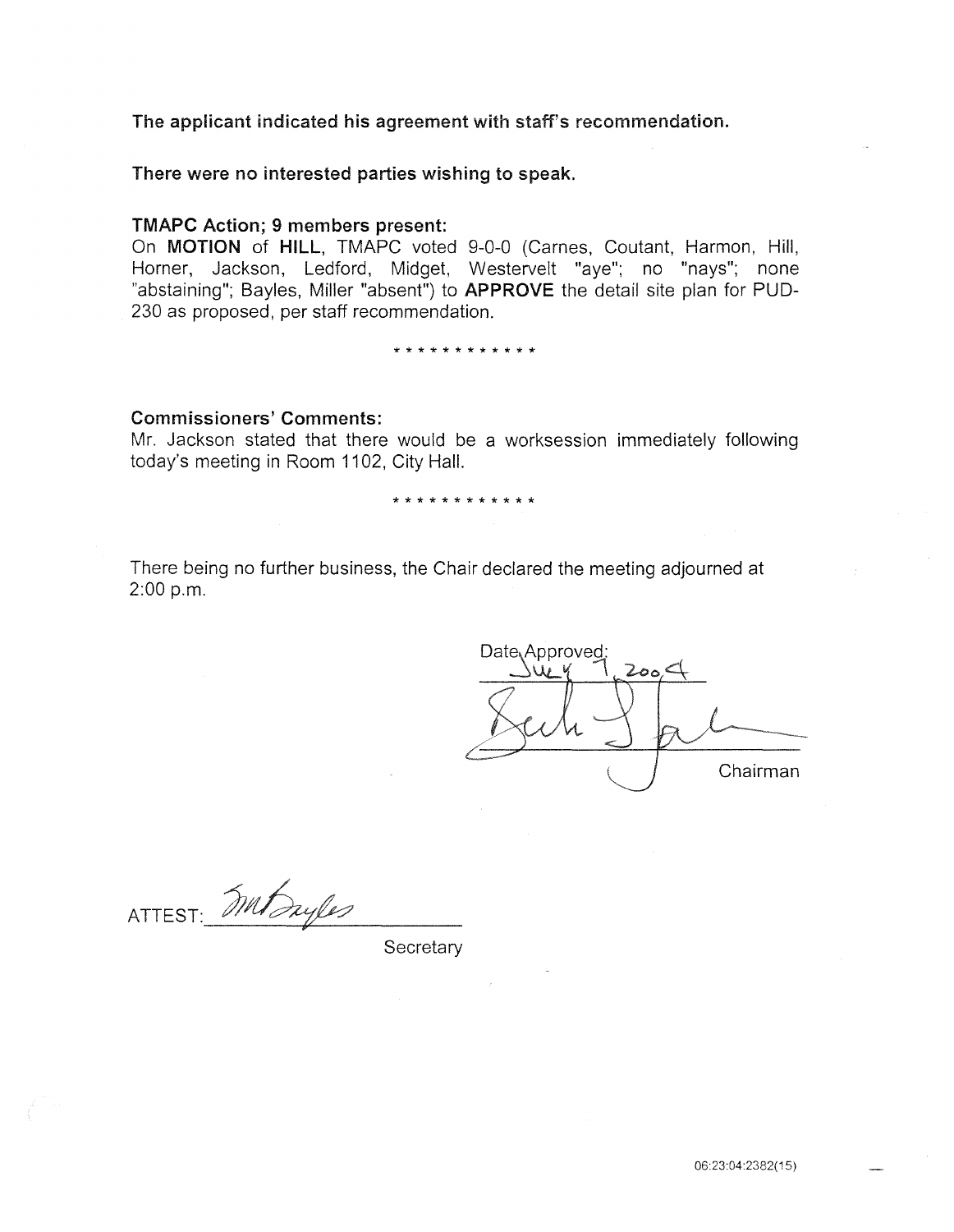The applicant indicated his agreement with staff's recommendation.

There were no interested parties wishing to speak.

#### TMAPC Action; 9 members present:

On MOTION of HILL, TMAPC voted 9-0-0 (Carnes, Coutant, Harmon, Hill, Horner, Jackson, Ledford, Midget, Westervelt "aye"; no "nays"; none "abstaining"; Bayles, Miller "absent") to APPROVE the detail site plan for PUD-230 as proposed, per staff recommendation.

\* \* \* \* \* \* \* \* \* \* \* \*

#### Commissioners' Comments:

Mr. Jackson stated that there would be a worksession immediately following today's meeting in Room 1102, City Hall.

\* \* \* \* \* \* \* \* \* \* \* \*

There being no further business, the Chair declared the meeting adjourned at  $2:00 p.m.$ 

Date Approved: ک‱ے Chairman

ATTEST: Mit Ingles

**Secretary**